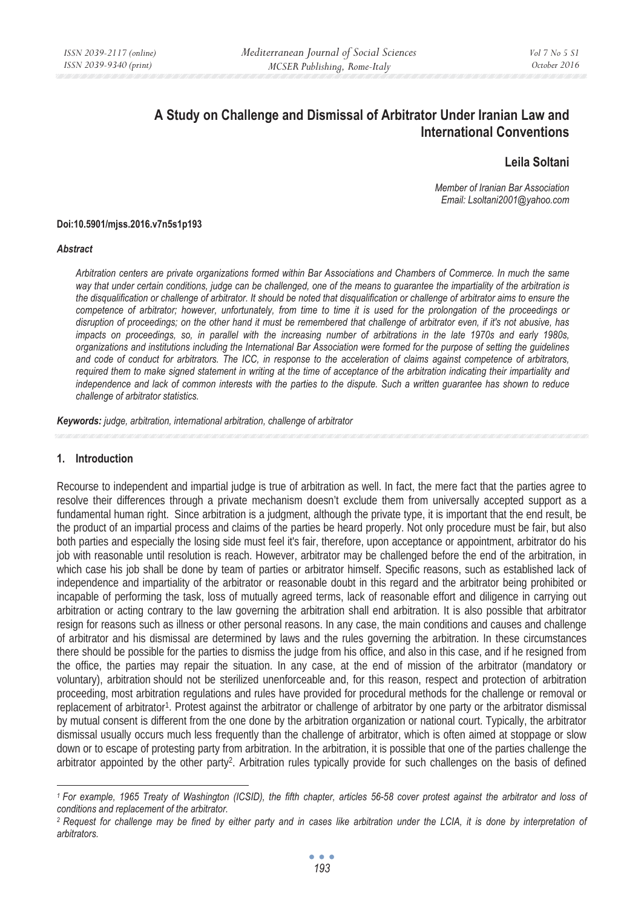# **A Study on Challenge and Dismissal of Arbitrator Under Iranian Law and International Conventions**

# **Leila Soltani**

*Member of Iranian Bar Association Email: Lsoltani2001@yahoo.com* 

#### **Doi:10.5901/mjss.2016.v7n5s1p193**

#### *Abstract*

*Arbitration centers are private organizations formed within Bar Associations and Chambers of Commerce. In much the same way that under certain conditions, judge can be challenged, one of the means to guarantee the impartiality of the arbitration is the disqualification or challenge of arbitrator. It should be noted that disqualification or challenge of arbitrator aims to ensure the competence of arbitrator; however, unfortunately, from time to time it is used for the prolongation of the proceedings or disruption of proceedings; on the other hand it must be remembered that challenge of arbitrator even, if it's not abusive, has impacts on proceedings, so, in parallel with the increasing number of arbitrations in the late 1970s and early 1980s, organizations and institutions including the International Bar Association were formed for the purpose of setting the guidelines and code of conduct for arbitrators. The ICC, in response to the acceleration of claims against competence of arbitrators, required them to make signed statement in writing at the time of acceptance of the arbitration indicating their impartiality and independence and lack of common interests with the parties to the dispute. Such a written guarantee has shown to reduce challenge of arbitrator statistics.* 

*Keywords: judge, arbitration, international arbitration, challenge of arbitrator* 

### **1. Introduction**

Recourse to independent and impartial judge is true of arbitration as well. In fact, the mere fact that the parties agree to resolve their differences through a private mechanism doesn't exclude them from universally accepted support as a fundamental human right. Since arbitration is a judgment, although the private type, it is important that the end result, be the product of an impartial process and claims of the parties be heard properly. Not only procedure must be fair, but also both parties and especially the losing side must feel it's fair, therefore, upon acceptance or appointment, arbitrator do his job with reasonable until resolution is reach. However, arbitrator may be challenged before the end of the arbitration, in which case his job shall be done by team of parties or arbitrator himself. Specific reasons, such as established lack of independence and impartiality of the arbitrator or reasonable doubt in this regard and the arbitrator being prohibited or incapable of performing the task, loss of mutually agreed terms, lack of reasonable effort and diligence in carrying out arbitration or acting contrary to the law governing the arbitration shall end arbitration. It is also possible that arbitrator resign for reasons such as illness or other personal reasons. In any case, the main conditions and causes and challenge of arbitrator and his dismissal are determined by laws and the rules governing the arbitration. In these circumstances there should be possible for the parties to dismiss the judge from his office, and also in this case, and if he resigned from the office, the parties may repair the situation. In any case, at the end of mission of the arbitrator (mandatory or voluntary), arbitration should not be sterilized unenforceable and, for this reason, respect and protection of arbitration proceeding, most arbitration regulations and rules have provided for procedural methods for the challenge or removal or replacement of arbitrator<sup>1</sup>. Protest against the arbitrator or challenge of arbitrator by one party or the arbitrator dismissal by mutual consent is different from the one done by the arbitration organization or national court. Typically, the arbitrator dismissal usually occurs much less frequently than the challenge of arbitrator, which is often aimed at stoppage or slow down or to escape of protesting party from arbitration. In the arbitration, it is possible that one of the parties challenge the arbitrator appointed by the other party2. Arbitration rules typically provide for such challenges on the basis of defined

*<sup>1</sup> For example, 1965 Treaty of Washington (ICSID), the fifth chapter, articles 56-58 cover protest against the arbitrator and loss of conditions and replacement of the arbitrator.* 

*<sup>2</sup> Request for challenge may be fined by either party and in cases like arbitration under the LCIA, it is done by interpretation of arbitrators.*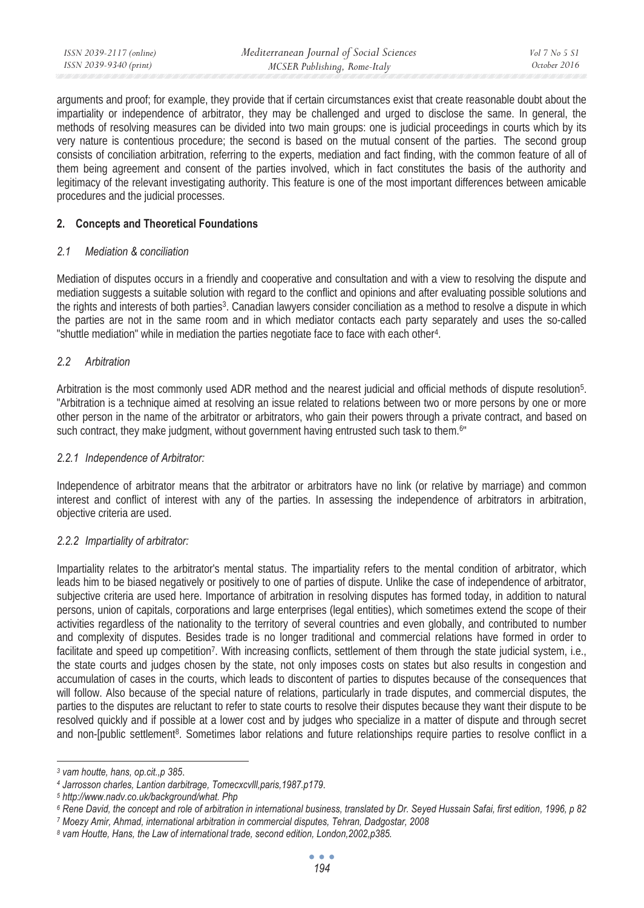| ISSN 2039-2117 (online) | Mediterranean Journal of Social Sciences | $Vol 7$ No 5 S1 |
|-------------------------|------------------------------------------|-----------------|
| ISSN 2039-9340 (print)  | MCSER Publishing, Rome-Italy             | October 2016    |

arguments and proof; for example, they provide that if certain circumstances exist that create reasonable doubt about the impartiality or independence of arbitrator, they may be challenged and urged to disclose the same. In general, the methods of resolving measures can be divided into two main groups: one is judicial proceedings in courts which by its very nature is contentious procedure; the second is based on the mutual consent of the parties. The second group consists of conciliation arbitration, referring to the experts, mediation and fact finding, with the common feature of all of them being agreement and consent of the parties involved, which in fact constitutes the basis of the authority and legitimacy of the relevant investigating authority. This feature is one of the most important differences between amicable procedures and the judicial processes.

## **2. Concepts and Theoretical Foundations**

#### *2.1 Mediation & conciliation*

Mediation of disputes occurs in a friendly and cooperative and consultation and with a view to resolving the dispute and mediation suggests a suitable solution with regard to the conflict and opinions and after evaluating possible solutions and the rights and interests of both parties3. Canadian lawyers consider conciliation as a method to resolve a dispute in which the parties are not in the same room and in which mediator contacts each party separately and uses the so-called "shuttle mediation" while in mediation the parties negotiate face to face with each other4.

### *2.2 Arbitration*

Arbitration is the most commonly used ADR method and the nearest judicial and official methods of dispute resolution5. "Arbitration is a technique aimed at resolving an issue related to relations between two or more persons by one or more other person in the name of the arbitrator or arbitrators, who gain their powers through a private contract, and based on such contract, they make judgment, without government having entrusted such task to them.<sup>6"</sup>

#### *2.2.1 Independence of Arbitrator:*

Independence of arbitrator means that the arbitrator or arbitrators have no link (or relative by marriage) and common interest and conflict of interest with any of the parties. In assessing the independence of arbitrators in arbitration, objective criteria are used.

## *2.2.2 Impartiality of arbitrator:*

Impartiality relates to the arbitrator's mental status. The impartiality refers to the mental condition of arbitrator, which leads him to be biased negatively or positively to one of parties of dispute. Unlike the case of independence of arbitrator, subjective criteria are used here. Importance of arbitration in resolving disputes has formed today, in addition to natural persons, union of capitals, corporations and large enterprises (legal entities), which sometimes extend the scope of their activities regardless of the nationality to the territory of several countries and even globally, and contributed to number and complexity of disputes. Besides trade is no longer traditional and commercial relations have formed in order to facilitate and speed up competition<sup>7</sup>. With increasing conflicts, settlement of them through the state judicial system, i.e., the state courts and judges chosen by the state, not only imposes costs on states but also results in congestion and accumulation of cases in the courts, which leads to discontent of parties to disputes because of the consequences that will follow. Also because of the special nature of relations, particularly in trade disputes, and commercial disputes, the parties to the disputes are reluctant to refer to state courts to resolve their disputes because they want their dispute to be resolved quickly and if possible at a lower cost and by judges who specialize in a matter of dispute and through secret and non-[public settlement<sup>8</sup>. Sometimes labor relations and future relationships require parties to resolve conflict in a

*<sup>3</sup> vam houtte, hans, op.cit.,p 385*.

*<sup>4</sup> Jarrosson charles, Lantion darbitrage, Tomecxcvlll,paris,1987.p179*.

*<sup>5</sup> http://www.nadv.co.uk/background/what. Php* 

<sup>&</sup>lt;sup>6</sup> Rene David, the concept and role of arbitration in international business, translated by Dr. Seyed Hussain Safai, first edition, 1996, p 82<br><sup>7</sup> Moezy Amir, Ahmad, international arbitration in commercial disputes, Tehra

*<sup>8</sup> vam Houtte, Hans, the Law of international trade, second edition, London,2002,p385.*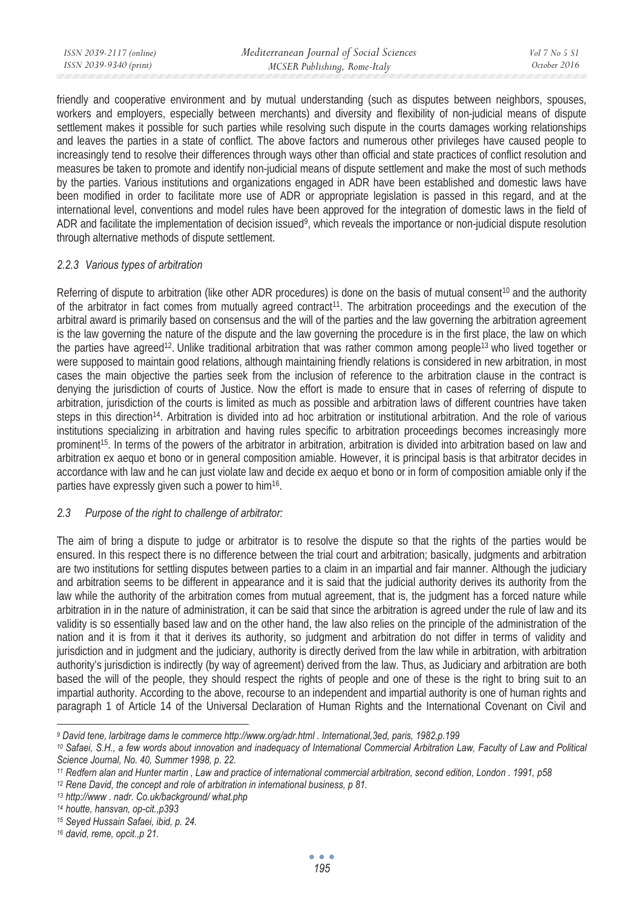| ISSN 2039-9340 (print)<br>MCSER Publishing, Rome-Italy | October 2016 |
|--------------------------------------------------------|--------------|

friendly and cooperative environment and by mutual understanding (such as disputes between neighbors, spouses, workers and employers, especially between merchants) and diversity and flexibility of non-judicial means of dispute settlement makes it possible for such parties while resolving such dispute in the courts damages working relationships and leaves the parties in a state of conflict. The above factors and numerous other privileges have caused people to increasingly tend to resolve their differences through ways other than official and state practices of conflict resolution and measures be taken to promote and identify non-judicial means of dispute settlement and make the most of such methods by the parties. Various institutions and organizations engaged in ADR have been established and domestic laws have been modified in order to facilitate more use of ADR or appropriate legislation is passed in this regard, and at the international level, conventions and model rules have been approved for the integration of domestic laws in the field of ADR and facilitate the implementation of decision issued<sup>9</sup>, which reveals the importance or non-judicial dispute resolution through alternative methods of dispute settlement.

#### *2.2.3 Various types of arbitration*

Referring of dispute to arbitration (like other ADR procedures) is done on the basis of mutual consent<sup>10</sup> and the authority of the arbitrator in fact comes from mutually agreed contract<sup>11</sup>. The arbitration proceedings and the execution of the arbitral award is primarily based on consensus and the will of the parties and the law governing the arbitration agreement is the law governing the nature of the dispute and the law governing the procedure is in the first place, the law on which the parties have agreed<sup>12</sup>. Unlike traditional arbitration that was rather common among people<sup>13</sup> who lived together or were supposed to maintain good relations, although maintaining friendly relations is considered in new arbitration, in most cases the main objective the parties seek from the inclusion of reference to the arbitration clause in the contract is denying the jurisdiction of courts of Justice. Now the effort is made to ensure that in cases of referring of dispute to arbitration, jurisdiction of the courts is limited as much as possible and arbitration laws of different countries have taken steps in this direction<sup>14</sup>. Arbitration is divided into ad hoc arbitration or institutional arbitration. And the role of various institutions specializing in arbitration and having rules specific to arbitration proceedings becomes increasingly more prominent15. In terms of the powers of the arbitrator in arbitration, arbitration is divided into arbitration based on law and arbitration ex aequo et bono or in general composition amiable. However, it is principal basis is that arbitrator decides in accordance with law and he can just violate law and decide ex aequo et bono or in form of composition amiable only if the parties have expressly given such a power to him<sup>16</sup>.

## *2.3 Purpose of the right to challenge of arbitrator:*

The aim of bring a dispute to judge or arbitrator is to resolve the dispute so that the rights of the parties would be ensured. In this respect there is no difference between the trial court and arbitration; basically, judgments and arbitration are two institutions for settling disputes between parties to a claim in an impartial and fair manner. Although the judiciary and arbitration seems to be different in appearance and it is said that the judicial authority derives its authority from the law while the authority of the arbitration comes from mutual agreement, that is, the judgment has a forced nature while arbitration in in the nature of administration, it can be said that since the arbitration is agreed under the rule of law and its validity is so essentially based law and on the other hand, the law also relies on the principle of the administration of the nation and it is from it that it derives its authority, so judgment and arbitration do not differ in terms of validity and jurisdiction and in judgment and the judiciary, authority is directly derived from the law while in arbitration, with arbitration authority's jurisdiction is indirectly (by way of agreement) derived from the law. Thus, as Judiciary and arbitration are both based the will of the people, they should respect the rights of people and one of these is the right to bring suit to an impartial authority. According to the above, recourse to an independent and impartial authority is one of human rights and paragraph 1 of Article 14 of the Universal Declaration of Human Rights and the International Covenant on Civil and

*<sup>9</sup> David tene, larbitrage dams le commerce http://www.org/adr.html . International,3ed, paris, 1982,p.199* 

*<sup>10</sup> Safaei, S.H., a few words about innovation and inadequacy of International Commercial Arbitration Law, Faculty of Law and Political Science Journal, No. 40, Summer 1998, p. 22.* 

<sup>&</sup>lt;sup>11</sup> Redfern alan and Hunter martin , Law and practice of international commercial arbitration, second edition, London . 1991, p58<br><sup>12</sup> Rene David, the concept and role of arbitration in international business, p 81.<br><sup>13</sup>

*<sup>14</sup> houtte, hansvan, op-cit.,p393* 

*<sup>15</sup> Seyed Hussain Safaei, ibid, p. 24.* 

*<sup>16</sup> david, reme, opcit.,p 21.*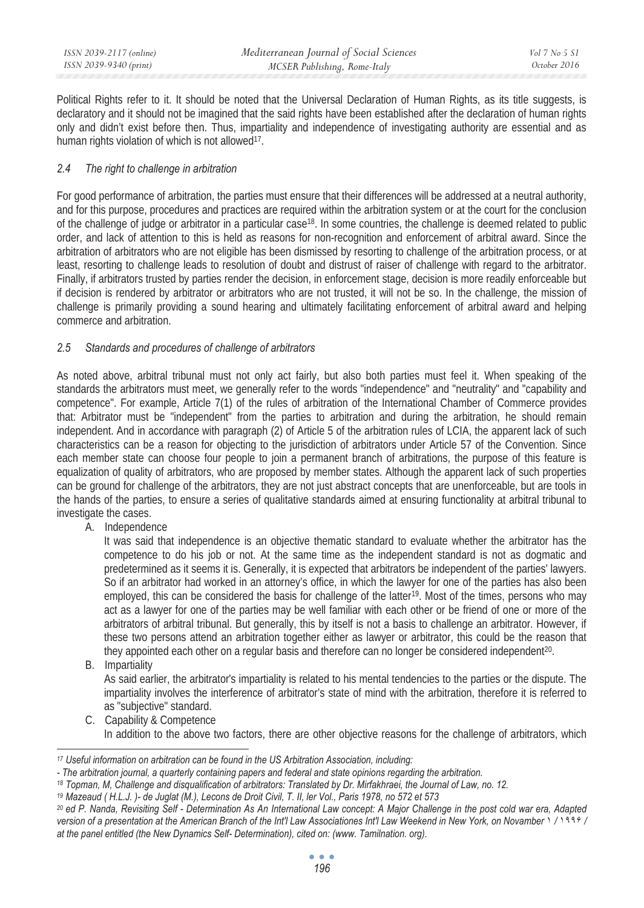| ISSN 2039-2117 (online) | Mediterranean Journal of Social Sciences | Vol 7 No 5 S1 |
|-------------------------|------------------------------------------|---------------|
| ISSN 2039-9340 (print)  | MCSER Publishing, Rome-Italy             | October 2016  |
|                         |                                          |               |

Political Rights refer to it. It should be noted that the Universal Declaration of Human Rights, as its title suggests, is declaratory and it should not be imagined that the said rights have been established after the declaration of human rights only and didn't exist before then. Thus, impartiality and independence of investigating authority are essential and as human rights violation of which is not allowed<sup>17</sup>.

### *2.4 The right to challenge in arbitration*

For good performance of arbitration, the parties must ensure that their differences will be addressed at a neutral authority, and for this purpose, procedures and practices are required within the arbitration system or at the court for the conclusion of the challenge of judge or arbitrator in a particular case<sup>18</sup>. In some countries, the challenge is deemed related to public order, and lack of attention to this is held as reasons for non-recognition and enforcement of arbitral award. Since the arbitration of arbitrators who are not eligible has been dismissed by resorting to challenge of the arbitration process, or at least, resorting to challenge leads to resolution of doubt and distrust of raiser of challenge with regard to the arbitrator. Finally, if arbitrators trusted by parties render the decision, in enforcement stage, decision is more readily enforceable but if decision is rendered by arbitrator or arbitrators who are not trusted, it will not be so. In the challenge, the mission of challenge is primarily providing a sound hearing and ultimately facilitating enforcement of arbitral award and helping commerce and arbitration.

### *2.5 Standards and procedures of challenge of arbitrators*

As noted above, arbitral tribunal must not only act fairly, but also both parties must feel it. When speaking of the standards the arbitrators must meet, we generally refer to the words "independence" and "neutrality" and "capability and competence". For example, Article 7(1) of the rules of arbitration of the International Chamber of Commerce provides that: Arbitrator must be "independent" from the parties to arbitration and during the arbitration, he should remain independent. And in accordance with paragraph (2) of Article 5 of the arbitration rules of LCIA, the apparent lack of such characteristics can be a reason for objecting to the jurisdiction of arbitrators under Article 57 of the Convention. Since each member state can choose four people to join a permanent branch of arbitrations, the purpose of this feature is equalization of quality of arbitrators, who are proposed by member states. Although the apparent lack of such properties can be ground for challenge of the arbitrators, they are not just abstract concepts that are unenforceable, but are tools in the hands of the parties, to ensure a series of qualitative standards aimed at ensuring functionality at arbitral tribunal to investigate the cases.

A. Independence

It was said that independence is an objective thematic standard to evaluate whether the arbitrator has the competence to do his job or not. At the same time as the independent standard is not as dogmatic and predetermined as it seems it is. Generally, it is expected that arbitrators be independent of the parties' lawyers. So if an arbitrator had worked in an attorney's office, in which the lawyer for one of the parties has also been employed, this can be considered the basis for challenge of the latter<sup>19</sup>. Most of the times, persons who may act as a lawyer for one of the parties may be well familiar with each other or be friend of one or more of the arbitrators of arbitral tribunal. But generally, this by itself is not a basis to challenge an arbitrator. However, if these two persons attend an arbitration together either as lawyer or arbitrator, this could be the reason that they appointed each other on a regular basis and therefore can no longer be considered independent20.

B. Impartiality

As said earlier, the arbitrator's impartiality is related to his mental tendencies to the parties or the dispute. The impartiality involves the interference of arbitrator's state of mind with the arbitration, therefore it is referred to as "subjective" standard.

C. Capability & Competence In addition to the above two factors, there are other objective reasons for the challenge of arbitrators, which

*<sup>17</sup> Useful information on arbitration can be found in the US Arbitration Association, including:* 

<sup>-</sup> The arbitration journal, a quarterly containing papers and federal and state opinions regarding the arbitration.<br><sup>18</sup> Topman, M, Challenge and disqualification of arbitrators: Translated by Dr. Mirfakhraei, the Journal o version of a presentation at the American Branch of the Int'l Law Associationes Int'l Law Weekend in New York, on Novamber  $\frac{1}{1}$ <sup>9</sup> / *at the panel entitled (the New Dynamics Self- Determination), cited on: (www. Tamilnation. org).*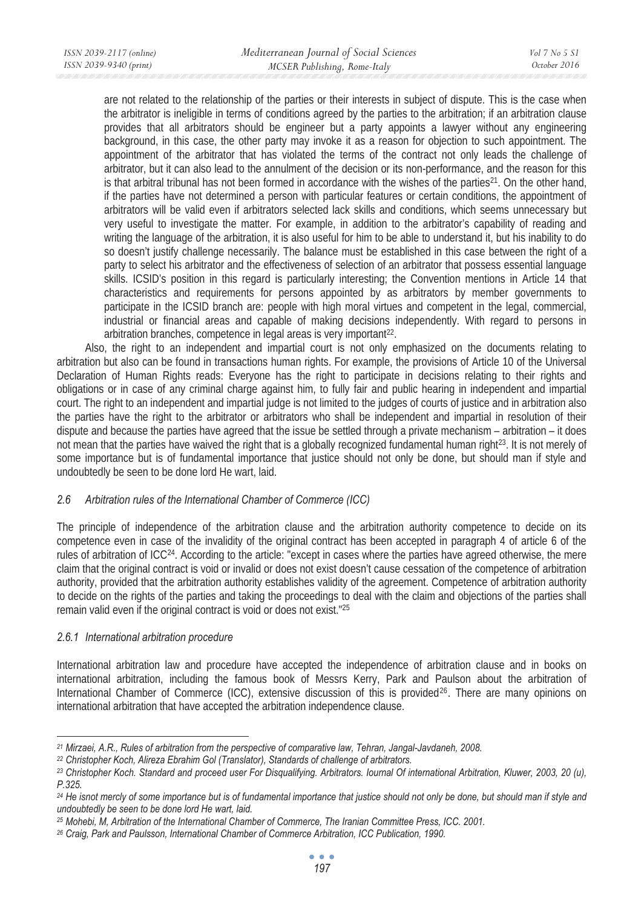are not related to the relationship of the parties or their interests in subject of dispute. This is the case when the arbitrator is ineligible in terms of conditions agreed by the parties to the arbitration; if an arbitration clause provides that all arbitrators should be engineer but a party appoints a lawyer without any engineering background, in this case, the other party may invoke it as a reason for objection to such appointment. The appointment of the arbitrator that has violated the terms of the contract not only leads the challenge of arbitrator, but it can also lead to the annulment of the decision or its non-performance, and the reason for this is that arbitral tribunal has not been formed in accordance with the wishes of the parties $21$ . On the other hand, if the parties have not determined a person with particular features or certain conditions, the appointment of arbitrators will be valid even if arbitrators selected lack skills and conditions, which seems unnecessary but very useful to investigate the matter. For example, in addition to the arbitrator's capability of reading and writing the language of the arbitration, it is also useful for him to be able to understand it, but his inability to do so doesn't justify challenge necessarily. The balance must be established in this case between the right of a party to select his arbitrator and the effectiveness of selection of an arbitrator that possess essential language skills. ICSID's position in this regard is particularly interesting; the Convention mentions in Article 14 that characteristics and requirements for persons appointed by as arbitrators by member governments to participate in the ICSID branch are: people with high moral virtues and competent in the legal, commercial, industrial or financial areas and capable of making decisions independently. With regard to persons in arbitration branches, competence in legal areas is very important<sup>22</sup>.

Also, the right to an independent and impartial court is not only emphasized on the documents relating to arbitration but also can be found in transactions human rights. For example, the provisions of Article 10 of the Universal Declaration of Human Rights reads: Everyone has the right to participate in decisions relating to their rights and obligations or in case of any criminal charge against him, to fully fair and public hearing in independent and impartial court. The right to an independent and impartial judge is not limited to the judges of courts of justice and in arbitration also the parties have the right to the arbitrator or arbitrators who shall be independent and impartial in resolution of their dispute and because the parties have agreed that the issue be settled through a private mechanism – arbitration – it does not mean that the parties have waived the right that is a globally recognized fundamental human right23. It is not merely of some importance but is of fundamental importance that justice should not only be done, but should man if style and undoubtedly be seen to be done lord He wart, laid.

## *2.6 Arbitration rules of the International Chamber of Commerce (ICC)*

The principle of independence of the arbitration clause and the arbitration authority competence to decide on its competence even in case of the invalidity of the original contract has been accepted in paragraph 4 of article 6 of the rules of arbitration of ICC24. According to the article: "except in cases where the parties have agreed otherwise, the mere claim that the original contract is void or invalid or does not exist doesn't cause cessation of the competence of arbitration authority, provided that the arbitration authority establishes validity of the agreement. Competence of arbitration authority to decide on the rights of the parties and taking the proceedings to deal with the claim and objections of the parties shall remain valid even if the original contract is void or does not exist."25

### *2.6.1 International arbitration procedure*

International arbitration law and procedure have accepted the independence of arbitration clause and in books on international arbitration, including the famous book of Messrs Kerry, Park and Paulson about the arbitration of International Chamber of Commerce (ICC), extensive discussion of this is provided<sup>26</sup>. There are many opinions on international arbitration that have accepted the arbitration independence clause.

<sup>&</sup>lt;sup>21</sup> Mirzaei, A.R., Rules of arbitration from the perspective of comparative law, Tehran, Jangal-Javdaneh, 2008.<br><sup>22</sup> Christopher Koch, Alireza Ebrahim Gol (Translator), Standards of challenge of arbitrators.<br><sup>23</sup> Christop *P.325.* 

*<sup>24</sup> He isnot mercly of some importance but is of fundamental importance that justice should not only be done, but should man if style and undoubtedly be seen to be done lord He wart, laid.* 

<sup>&</sup>lt;sup>25</sup> Mohebi, M, Arbitration of the International Chamber of Commerce, The Iranian Committee Press, ICC. 2001.<br><sup>26</sup> Craig, Park and Paulsson, International Chamber of Commerce Arbitration, ICC Publication, 1990.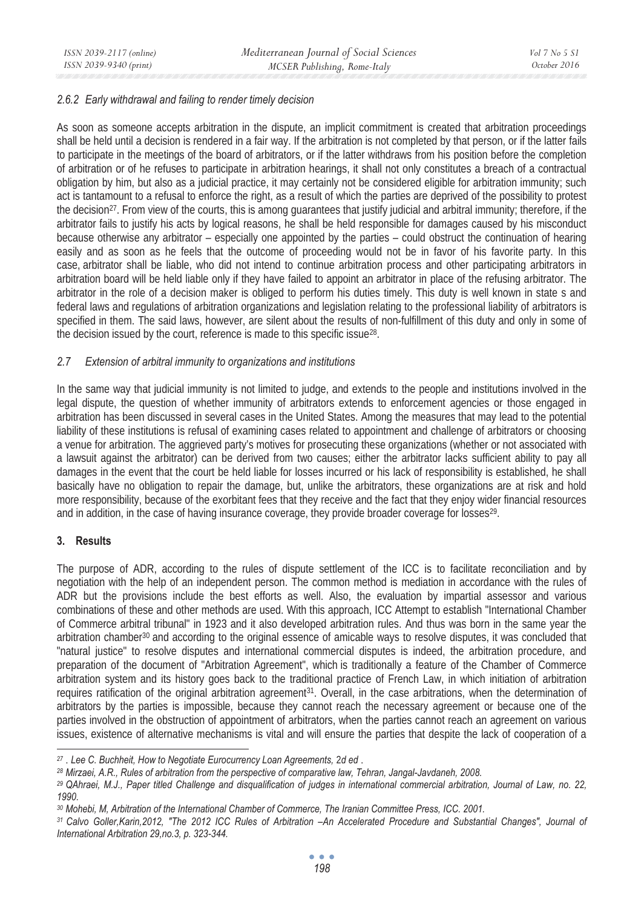### *2.6.2 Early withdrawal and failing to render timely decision*

As soon as someone accepts arbitration in the dispute, an implicit commitment is created that arbitration proceedings shall be held until a decision is rendered in a fair way. If the arbitration is not completed by that person, or if the latter fails to participate in the meetings of the board of arbitrators, or if the latter withdraws from his position before the completion of arbitration or of he refuses to participate in arbitration hearings, it shall not only constitutes a breach of a contractual obligation by him, but also as a judicial practice, it may certainly not be considered eligible for arbitration immunity; such act is tantamount to a refusal to enforce the right, as a result of which the parties are deprived of the possibility to protest the decision<sup>27</sup>. From view of the courts, this is among quarantees that justify judicial and arbitral immunity; therefore, if the arbitrator fails to justify his acts by logical reasons, he shall be held responsible for damages caused by his misconduct because otherwise any arbitrator – especially one appointed by the parties – could obstruct the continuation of hearing easily and as soon as he feels that the outcome of proceeding would not be in favor of his favorite party. In this case, arbitrator shall be liable, who did not intend to continue arbitration process and other participating arbitrators in arbitration board will be held liable only if they have failed to appoint an arbitrator in place of the refusing arbitrator. The arbitrator in the role of a decision maker is obliged to perform his duties timely. This duty is well known in state s and federal laws and regulations of arbitration organizations and legislation relating to the professional liability of arbitrators is specified in them. The said laws, however, are silent about the results of non-fulfillment of this duty and only in some of the decision issued by the court, reference is made to this specific issue<sup>28</sup>.

### *2.7 Extension of arbitral immunity to organizations and institutions*

In the same way that judicial immunity is not limited to judge, and extends to the people and institutions involved in the legal dispute, the question of whether immunity of arbitrators extends to enforcement agencies or those engaged in arbitration has been discussed in several cases in the United States. Among the measures that may lead to the potential liability of these institutions is refusal of examining cases related to appointment and challenge of arbitrators or choosing a venue for arbitration. The aggrieved party's motives for prosecuting these organizations (whether or not associated with a lawsuit against the arbitrator) can be derived from two causes; either the arbitrator lacks sufficient ability to pay all damages in the event that the court be held liable for losses incurred or his lack of responsibility is established, he shall basically have no obligation to repair the damage, but, unlike the arbitrators, these organizations are at risk and hold more responsibility, because of the exorbitant fees that they receive and the fact that they enjoy wider financial resources and in addition, in the case of having insurance coverage, they provide broader coverage for losses<sup>29</sup>.

### **3. Results**

The purpose of ADR, according to the rules of dispute settlement of the ICC is to facilitate reconciliation and by negotiation with the help of an independent person. The common method is mediation in accordance with the rules of ADR but the provisions include the best efforts as well. Also, the evaluation by impartial assessor and various combinations of these and other methods are used. With this approach, ICC Attempt to establish "International Chamber of Commerce arbitral tribunal" in 1923 and it also developed arbitration rules. And thus was born in the same year the arbitration chamber<sup>30</sup> and according to the original essence of amicable ways to resolve disputes, it was concluded that "natural justice" to resolve disputes and international commercial disputes is indeed, the arbitration procedure, and preparation of the document of "Arbitration Agreement", which is traditionally a feature of the Chamber of Commerce arbitration system and its history goes back to the traditional practice of French Law, in which initiation of arbitration requires ratification of the original arbitration agreement<sup>31</sup>. Overall, in the case arbitrations, when the determination of arbitrators by the parties is impossible, because they cannot reach the necessary agreement or because one of the parties involved in the obstruction of appointment of arbitrators, when the parties cannot reach an agreement on various issues, existence of alternative mechanisms is vital and will ensure the parties that despite the lack of cooperation of a

*<sup>27</sup>* . *Lee C. Buchheit, How to Negotiate Eurocurrency Loan Agreements,* 2*d ed* .

*<sup>28</sup> Mirzaei, A.R., Rules of arbitration from the perspective of comparative law, Tehran, Jangal-Javdaneh, 2008.* 

*<sup>29</sup> QAhraei, M.J., Paper titled Challenge and disqualification of judges in international commercial arbitration, Journal of Law, no. 22, 1990.* 

*<sup>30</sup> Mohebi, M, Arbitration of the International Chamber of Commerce, The Iranian Committee Press, ICC. 2001.* 

*<sup>31</sup> Calvo Goller,Karin,2012, "The 2012 ICC Rules of Arbitration –An Accelerated Procedure and Substantial Changes", Journal of International Arbitration 29,no.3, p. 323-344.*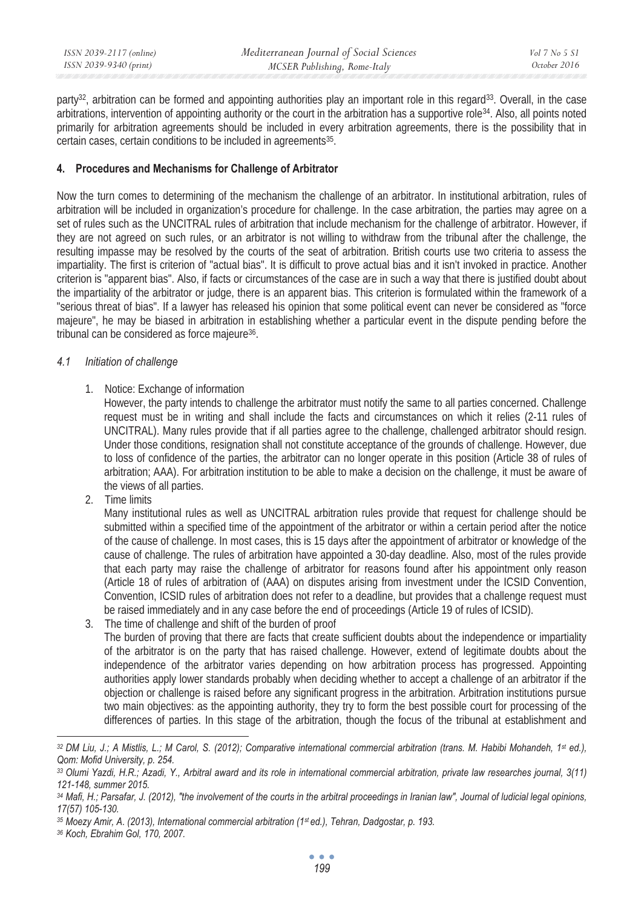| ISSN 2039-2117 (online) | Mediterranean Journal of Social Sciences | Vol 7 No 5 S1 |
|-------------------------|------------------------------------------|---------------|
| ISSN 2039-9340 (print)  | MCSER Publishing, Rome-Italy             | October 2016  |

party<sup>32</sup>, arbitration can be formed and appointing authorities play an important role in this regard<sup>33</sup>. Overall, in the case arbitrations, intervention of appointing authority or the court in the arbitration has a supportive role34. Also, all points noted primarily for arbitration agreements should be included in every arbitration agreements, there is the possibility that in certain cases, certain conditions to be included in agreements<sup>35</sup>.

### **4. Procedures and Mechanisms for Challenge of Arbitrator**

Now the turn comes to determining of the mechanism the challenge of an arbitrator. In institutional arbitration, rules of arbitration will be included in organization's procedure for challenge. In the case arbitration, the parties may agree on a set of rules such as the UNCITRAL rules of arbitration that include mechanism for the challenge of arbitrator. However, if they are not agreed on such rules, or an arbitrator is not willing to withdraw from the tribunal after the challenge, the resulting impasse may be resolved by the courts of the seat of arbitration. British courts use two criteria to assess the impartiality. The first is criterion of "actual bias". It is difficult to prove actual bias and it isn't invoked in practice. Another criterion is "apparent bias". Also, if facts or circumstances of the case are in such a way that there is justified doubt about the impartiality of the arbitrator or judge, there is an apparent bias. This criterion is formulated within the framework of a "serious threat of bias". If a lawyer has released his opinion that some political event can never be considered as "force majeure", he may be biased in arbitration in establishing whether a particular event in the dispute pending before the tribunal can be considered as force majeure36.

### *4.1 Initiation of challenge*

1. Notice: Exchange of information

However, the party intends to challenge the arbitrator must notify the same to all parties concerned. Challenge request must be in writing and shall include the facts and circumstances on which it relies (2-11 rules of UNCITRAL). Many rules provide that if all parties agree to the challenge, challenged arbitrator should resign. Under those conditions, resignation shall not constitute acceptance of the grounds of challenge. However, due to loss of confidence of the parties, the arbitrator can no longer operate in this position (Article 38 of rules of arbitration; AAA). For arbitration institution to be able to make a decision on the challenge, it must be aware of the views of all parties.

2. Time limits

Many institutional rules as well as UNCITRAL arbitration rules provide that request for challenge should be submitted within a specified time of the appointment of the arbitrator or within a certain period after the notice of the cause of challenge. In most cases, this is 15 days after the appointment of arbitrator or knowledge of the cause of challenge. The rules of arbitration have appointed a 30-day deadline. Also, most of the rules provide that each party may raise the challenge of arbitrator for reasons found after his appointment only reason (Article 18 of rules of arbitration of (AAA) on disputes arising from investment under the ICSID Convention, Convention, ICSID rules of arbitration does not refer to a deadline, but provides that a challenge request must be raised immediately and in any case before the end of proceedings (Article 19 of rules of ICSID).

3. The time of challenge and shift of the burden of proof The burden of proving that there are facts that create sufficient doubts about the independence or impartiality of the arbitrator is on the party that has raised challenge. However, extend of legitimate doubts about the independence of the arbitrator varies depending on how arbitration process has progressed. Appointing authorities apply lower standards probably when deciding whether to accept a challenge of an arbitrator if the objection or challenge is raised before any significant progress in the arbitration. Arbitration institutions pursue two main objectives: as the appointing authority, they try to form the best possible court for processing of the differences of parties. In this stage of the arbitration, though the focus of the tribunal at establishment and

*<sup>32</sup> DM Liu, J.; A Mistlis, L.; M Carol, S. (2012); Comparative international commercial arbitration (trans. M. Habibi Mohandeh, 1st ed.), Qom: Mofid University, p. 254.* 

*<sup>33</sup> Olumi Yazdi, H.R.; Azadi, Y., Arbitral award and its role in international commercial arbitration, private law researches journal, 3(11) 121-148, summer 2015.* 

*<sup>34</sup> Mafi, H.; Parsafar, J. (2012), "the involvement of the courts in the arbitral proceedings in Iranian law", Journal of ludicial legal opinions, 17(57) 105-130.* 

*<sup>35</sup> Moezy Amir, A. (2013), International commercial arbitration (1st ed.), Tehran, Dadgostar, p. 193. 36 Koch, Ebrahim Gol, 170, 2007.*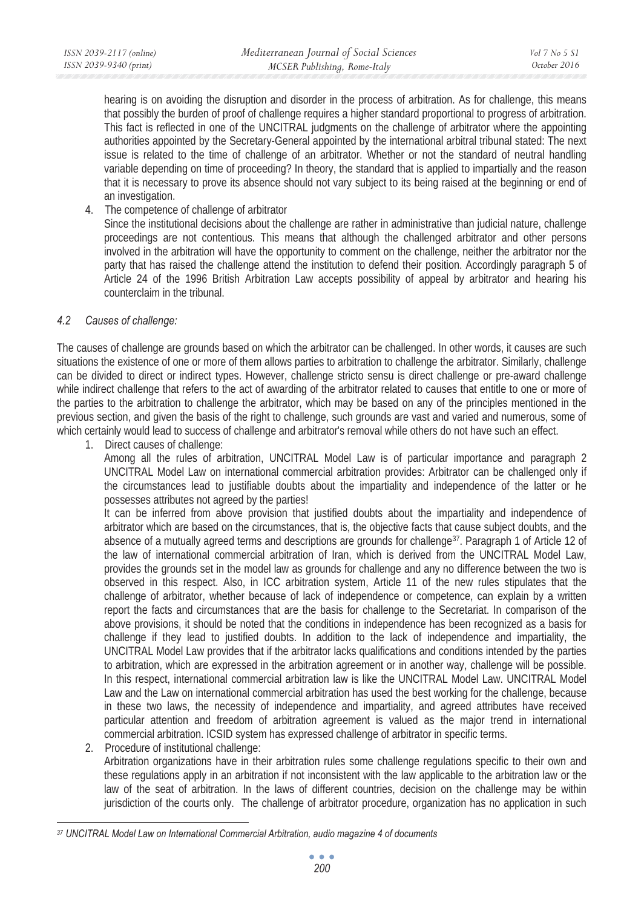hearing is on avoiding the disruption and disorder in the process of arbitration. As for challenge, this means that possibly the burden of proof of challenge requires a higher standard proportional to progress of arbitration. This fact is reflected in one of the UNCITRAL judgments on the challenge of arbitrator where the appointing authorities appointed by the Secretary-General appointed by the international arbitral tribunal stated: The next issue is related to the time of challenge of an arbitrator. Whether or not the standard of neutral handling variable depending on time of proceeding? In theory, the standard that is applied to impartially and the reason that it is necessary to prove its absence should not vary subject to its being raised at the beginning or end of an investigation.

4. The competence of challenge of arbitrator

Since the institutional decisions about the challenge are rather in administrative than judicial nature, challenge proceedings are not contentious. This means that although the challenged arbitrator and other persons involved in the arbitration will have the opportunity to comment on the challenge, neither the arbitrator nor the party that has raised the challenge attend the institution to defend their position. Accordingly paragraph 5 of Article 24 of the 1996 British Arbitration Law accepts possibility of appeal by arbitrator and hearing his counterclaim in the tribunal.

## *4.2 Causes of challenge:*

The causes of challenge are grounds based on which the arbitrator can be challenged. In other words, it causes are such situations the existence of one or more of them allows parties to arbitration to challenge the arbitrator. Similarly, challenge can be divided to direct or indirect types. However, challenge stricto sensu is direct challenge or pre-award challenge while indirect challenge that refers to the act of awarding of the arbitrator related to causes that entitle to one or more of the parties to the arbitration to challenge the arbitrator, which may be based on any of the principles mentioned in the previous section, and given the basis of the right to challenge, such grounds are vast and varied and numerous, some of which certainly would lead to success of challenge and arbitrator's removal while others do not have such an effect.

1. Direct causes of challenge:

Among all the rules of arbitration, UNCITRAL Model Law is of particular importance and paragraph 2 UNCITRAL Model Law on international commercial arbitration provides: Arbitrator can be challenged only if the circumstances lead to justifiable doubts about the impartiality and independence of the latter or he possesses attributes not agreed by the parties!

It can be inferred from above provision that justified doubts about the impartiality and independence of arbitrator which are based on the circumstances, that is, the objective facts that cause subject doubts, and the absence of a mutually agreed terms and descriptions are grounds for challenge37. Paragraph 1 of Article 12 of the law of international commercial arbitration of Iran, which is derived from the UNCITRAL Model Law, provides the grounds set in the model law as grounds for challenge and any no difference between the two is observed in this respect. Also, in ICC arbitration system, Article 11 of the new rules stipulates that the challenge of arbitrator, whether because of lack of independence or competence, can explain by a written report the facts and circumstances that are the basis for challenge to the Secretariat. In comparison of the above provisions, it should be noted that the conditions in independence has been recognized as a basis for challenge if they lead to justified doubts. In addition to the lack of independence and impartiality, the UNCITRAL Model Law provides that if the arbitrator lacks qualifications and conditions intended by the parties to arbitration, which are expressed in the arbitration agreement or in another way, challenge will be possible. In this respect, international commercial arbitration law is like the UNCITRAL Model Law. UNCITRAL Model Law and the Law on international commercial arbitration has used the best working for the challenge, because in these two laws, the necessity of independence and impartiality, and agreed attributes have received particular attention and freedom of arbitration agreement is valued as the major trend in international commercial arbitration. ICSID system has expressed challenge of arbitrator in specific terms.

2. Procedure of institutional challenge:

Arbitration organizations have in their arbitration rules some challenge regulations specific to their own and these regulations apply in an arbitration if not inconsistent with the law applicable to the arbitration law or the law of the seat of arbitration. In the laws of different countries, decision on the challenge may be within jurisdiction of the courts only. The challenge of arbitrator procedure, organization has no application in such

*<sup>37</sup> UNCITRAL Model Law on International Commercial Arbitration, audio magazine 4 of documents*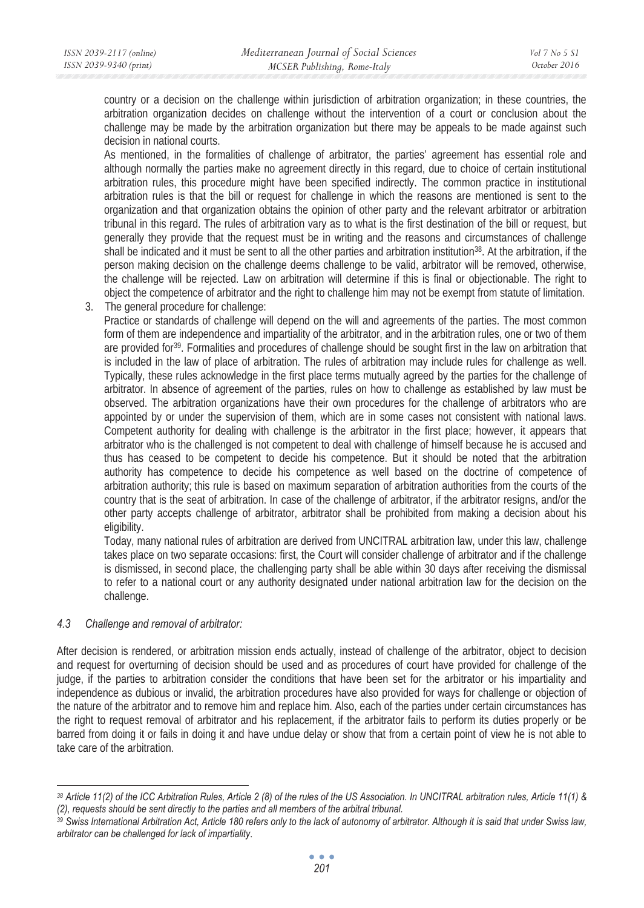country or a decision on the challenge within jurisdiction of arbitration organization; in these countries, the arbitration organization decides on challenge without the intervention of a court or conclusion about the challenge may be made by the arbitration organization but there may be appeals to be made against such decision in national courts.

As mentioned, in the formalities of challenge of arbitrator, the parties' agreement has essential role and although normally the parties make no agreement directly in this regard, due to choice of certain institutional arbitration rules, this procedure might have been specified indirectly. The common practice in institutional arbitration rules is that the bill or request for challenge in which the reasons are mentioned is sent to the organization and that organization obtains the opinion of other party and the relevant arbitrator or arbitration tribunal in this regard. The rules of arbitration vary as to what is the first destination of the bill or request, but generally they provide that the request must be in writing and the reasons and circumstances of challenge shall be indicated and it must be sent to all the other parties and arbitration institution<sup>38</sup>. At the arbitration, if the person making decision on the challenge deems challenge to be valid, arbitrator will be removed, otherwise, the challenge will be rejected. Law on arbitration will determine if this is final or objectionable. The right to object the competence of arbitrator and the right to challenge him may not be exempt from statute of limitation.

3. The general procedure for challenge:

Practice or standards of challenge will depend on the will and agreements of the parties. The most common form of them are independence and impartiality of the arbitrator, and in the arbitration rules, one or two of them are provided for39. Formalities and procedures of challenge should be sought first in the law on arbitration that is included in the law of place of arbitration. The rules of arbitration may include rules for challenge as well. Typically, these rules acknowledge in the first place terms mutually agreed by the parties for the challenge of arbitrator. In absence of agreement of the parties, rules on how to challenge as established by law must be observed. The arbitration organizations have their own procedures for the challenge of arbitrators who are appointed by or under the supervision of them, which are in some cases not consistent with national laws. Competent authority for dealing with challenge is the arbitrator in the first place; however, it appears that arbitrator who is the challenged is not competent to deal with challenge of himself because he is accused and thus has ceased to be competent to decide his competence. But it should be noted that the arbitration authority has competence to decide his competence as well based on the doctrine of competence of arbitration authority; this rule is based on maximum separation of arbitration authorities from the courts of the country that is the seat of arbitration. In case of the challenge of arbitrator, if the arbitrator resigns, and/or the other party accepts challenge of arbitrator, arbitrator shall be prohibited from making a decision about his eligibility.

Today, many national rules of arbitration are derived from UNCITRAL arbitration law, under this law, challenge takes place on two separate occasions: first, the Court will consider challenge of arbitrator and if the challenge is dismissed, in second place, the challenging party shall be able within 30 days after receiving the dismissal to refer to a national court or any authority designated under national arbitration law for the decision on the challenge.

## *4.3 Challenge and removal of arbitrator:*

After decision is rendered, or arbitration mission ends actually, instead of challenge of the arbitrator, object to decision and request for overturning of decision should be used and as procedures of court have provided for challenge of the judge, if the parties to arbitration consider the conditions that have been set for the arbitrator or his impartiality and independence as dubious or invalid, the arbitration procedures have also provided for ways for challenge or objection of the nature of the arbitrator and to remove him and replace him. Also, each of the parties under certain circumstances has the right to request removal of arbitrator and his replacement, if the arbitrator fails to perform its duties properly or be barred from doing it or fails in doing it and have undue delay or show that from a certain point of view he is not able to take care of the arbitration.

*<sup>38</sup> Article 11(2) of the ICC Arbitration Rules, Article 2 (8) of the rules of the US Association. In UNCITRAL arbitration rules, Article 11(1) &*  (2), requests should be sent directly to the parties and all members of the arbitral tribunal.<br><sup>39</sup> Swiss International Arbitration Act, Article 180 refers only to the lack of autonomy of arbitrator. Although it is said th

*arbitrator can be challenged for lack of impartiality*.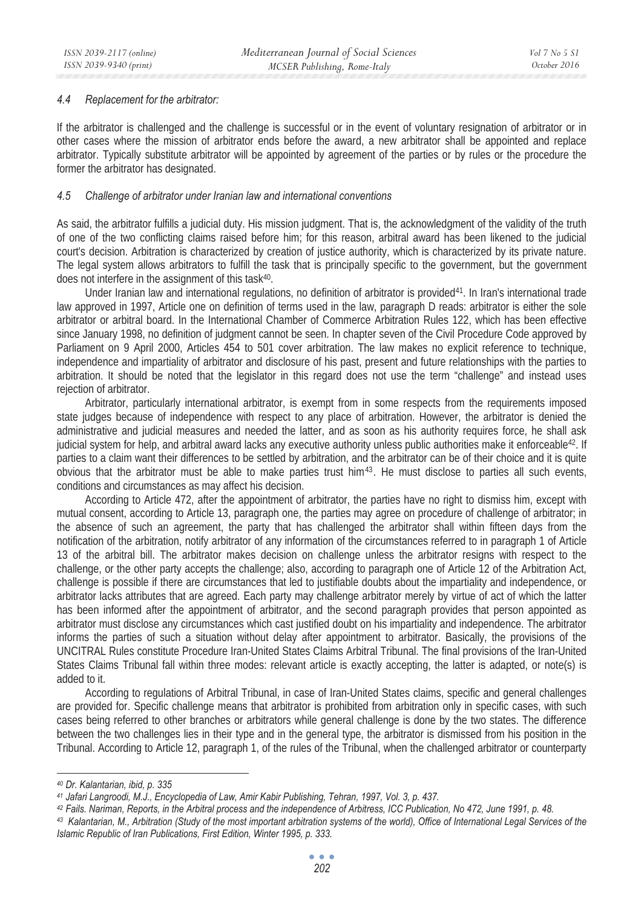#### *4.4 Replacement for the arbitrator:*

If the arbitrator is challenged and the challenge is successful or in the event of voluntary resignation of arbitrator or in other cases where the mission of arbitrator ends before the award, a new arbitrator shall be appointed and replace arbitrator. Typically substitute arbitrator will be appointed by agreement of the parties or by rules or the procedure the former the arbitrator has designated.

#### *4.5 Challenge of arbitrator under Iranian law and international conventions*

As said, the arbitrator fulfills a judicial duty. His mission judgment. That is, the acknowledgment of the validity of the truth of one of the two conflicting claims raised before him; for this reason, arbitral award has been likened to the judicial court's decision. Arbitration is characterized by creation of justice authority, which is characterized by its private nature. The legal system allows arbitrators to fulfill the task that is principally specific to the government, but the government does not interfere in the assignment of this task40.

Under Iranian law and international regulations, no definition of arbitrator is provided41. In Iran's international trade law approved in 1997, Article one on definition of terms used in the law, paragraph D reads: arbitrator is either the sole arbitrator or arbitral board. In the International Chamber of Commerce Arbitration Rules 122, which has been effective since January 1998, no definition of judgment cannot be seen. In chapter seven of the Civil Procedure Code approved by Parliament on 9 April 2000, Articles 454 to 501 cover arbitration. The law makes no explicit reference to technique, independence and impartiality of arbitrator and disclosure of his past, present and future relationships with the parties to arbitration. It should be noted that the legislator in this regard does not use the term "challenge" and instead uses rejection of arbitrator.

Arbitrator, particularly international arbitrator, is exempt from in some respects from the requirements imposed state judges because of independence with respect to any place of arbitration. However, the arbitrator is denied the administrative and judicial measures and needed the latter, and as soon as his authority requires force, he shall ask judicial system for help, and arbitral award lacks any executive authority unless public authorities make it enforceable<sup>42</sup>. If parties to a claim want their differences to be settled by arbitration, and the arbitrator can be of their choice and it is quite obvious that the arbitrator must be able to make parties trust him<sup>43</sup>. He must disclose to parties all such events, conditions and circumstances as may affect his decision.

According to Article 472, after the appointment of arbitrator, the parties have no right to dismiss him, except with mutual consent, according to Article 13, paragraph one, the parties may agree on procedure of challenge of arbitrator; in the absence of such an agreement, the party that has challenged the arbitrator shall within fifteen days from the notification of the arbitration, notify arbitrator of any information of the circumstances referred to in paragraph 1 of Article 13 of the arbitral bill. The arbitrator makes decision on challenge unless the arbitrator resigns with respect to the challenge, or the other party accepts the challenge; also, according to paragraph one of Article 12 of the Arbitration Act, challenge is possible if there are circumstances that led to justifiable doubts about the impartiality and independence, or arbitrator lacks attributes that are agreed. Each party may challenge arbitrator merely by virtue of act of which the latter has been informed after the appointment of arbitrator, and the second paragraph provides that person appointed as arbitrator must disclose any circumstances which cast justified doubt on his impartiality and independence. The arbitrator informs the parties of such a situation without delay after appointment to arbitrator. Basically, the provisions of the UNCITRAL Rules constitute Procedure Iran-United States Claims Arbitral Tribunal. The final provisions of the Iran-United States Claims Tribunal fall within three modes: relevant article is exactly accepting, the latter is adapted, or note(s) is added to it.

According to regulations of Arbitral Tribunal, in case of Iran-United States claims, specific and general challenges are provided for. Specific challenge means that arbitrator is prohibited from arbitration only in specific cases, with such cases being referred to other branches or arbitrators while general challenge is done by the two states. The difference between the two challenges lies in their type and in the general type, the arbitrator is dismissed from his position in the Tribunal. According to Article 12, paragraph 1, of the rules of the Tribunal, when the challenged arbitrator or counterparty

*<sup>40</sup> Dr. Kalantarian, ibid, p. 335* 

<sup>&</sup>lt;sup>41</sup> Jafari Langroodi, M.J., Encyclopedia of Law, Amir Kabir Publishing, Tehran, 1997, Vol. 3, p. 437.<br><sup>42</sup> Fails. Nariman, Reports, in the Arbitral process and the independence of Arbitress, ICC Publication, No 472, June *Islamic Republic of Iran Publications, First Edition, Winter 1995, p. 333.*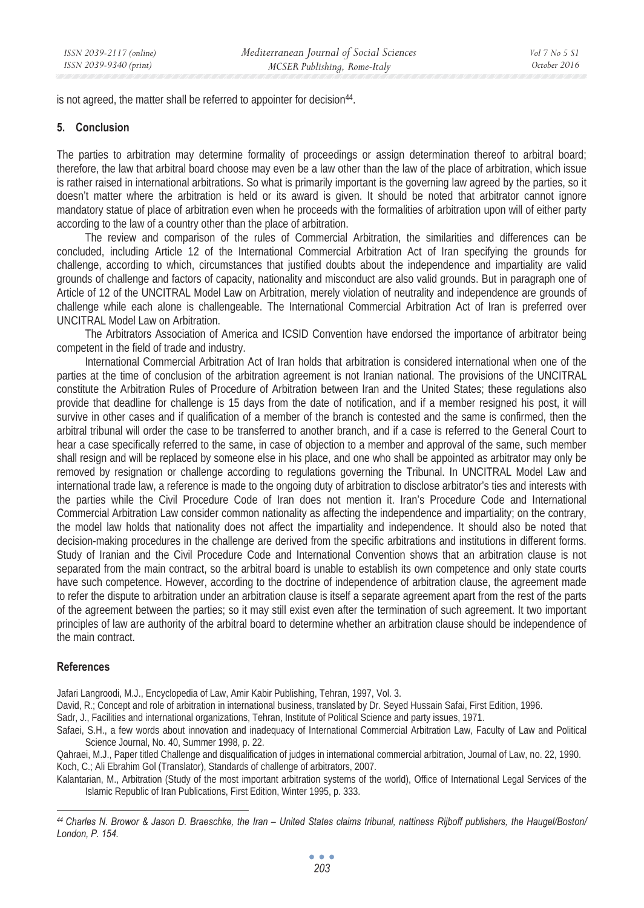is not agreed, the matter shall be referred to appointer for decision<sup>44</sup>.

#### **5. Conclusion**

The parties to arbitration may determine formality of proceedings or assign determination thereof to arbitral board; therefore, the law that arbitral board choose may even be a law other than the law of the place of arbitration, which issue is rather raised in international arbitrations. So what is primarily important is the governing law agreed by the parties, so it doesn't matter where the arbitration is held or its award is given. It should be noted that arbitrator cannot ignore mandatory statue of place of arbitration even when he proceeds with the formalities of arbitration upon will of either party according to the law of a country other than the place of arbitration.

The review and comparison of the rules of Commercial Arbitration, the similarities and differences can be concluded, including Article 12 of the International Commercial Arbitration Act of Iran specifying the grounds for challenge, according to which, circumstances that justified doubts about the independence and impartiality are valid grounds of challenge and factors of capacity, nationality and misconduct are also valid grounds. But in paragraph one of Article of 12 of the UNCITRAL Model Law on Arbitration, merely violation of neutrality and independence are grounds of challenge while each alone is challengeable. The International Commercial Arbitration Act of Iran is preferred over UNCITRAL Model Law on Arbitration.

The Arbitrators Association of America and ICSID Convention have endorsed the importance of arbitrator being competent in the field of trade and industry.

International Commercial Arbitration Act of Iran holds that arbitration is considered international when one of the parties at the time of conclusion of the arbitration agreement is not Iranian national. The provisions of the UNCITRAL constitute the Arbitration Rules of Procedure of Arbitration between Iran and the United States; these regulations also provide that deadline for challenge is 15 days from the date of notification, and if a member resigned his post, it will survive in other cases and if qualification of a member of the branch is contested and the same is confirmed, then the arbitral tribunal will order the case to be transferred to another branch, and if a case is referred to the General Court to hear a case specifically referred to the same, in case of objection to a member and approval of the same, such member shall resign and will be replaced by someone else in his place, and one who shall be appointed as arbitrator may only be removed by resignation or challenge according to regulations governing the Tribunal. In UNCITRAL Model Law and international trade law, a reference is made to the ongoing duty of arbitration to disclose arbitrator's ties and interests with the parties while the Civil Procedure Code of Iran does not mention it. Iran's Procedure Code and International Commercial Arbitration Law consider common nationality as affecting the independence and impartiality; on the contrary, the model law holds that nationality does not affect the impartiality and independence. It should also be noted that decision-making procedures in the challenge are derived from the specific arbitrations and institutions in different forms. Study of Iranian and the Civil Procedure Code and International Convention shows that an arbitration clause is not separated from the main contract, so the arbitral board is unable to establish its own competence and only state courts have such competence. However, according to the doctrine of independence of arbitration clause, the agreement made to refer the dispute to arbitration under an arbitration clause is itself a separate agreement apart from the rest of the parts of the agreement between the parties; so it may still exist even after the termination of such agreement. It two important principles of law are authority of the arbitral board to determine whether an arbitration clause should be independence of the main contract.

## **References**

Jafari Langroodi, M.J., Encyclopedia of Law, Amir Kabir Publishing, Tehran, 1997, Vol. 3.

David, R.; Concept and role of arbitration in international business, translated by Dr. Seyed Hussain Safai, First Edition, 1996.

Sadr, J., Facilities and international organizations, Tehran, Institute of Political Science and party issues, 1971.

Safaei, S.H., a few words about innovation and inadequacy of International Commercial Arbitration Law, Faculty of Law and Political Science Journal, No. 40, Summer 1998, p. 22.

Qahraei, M.J., Paper titled Challenge and disqualification of judges in international commercial arbitration, Journal of Law, no. 22, 1990. Koch, C.; Ali Ebrahim Gol (Translator), Standards of challenge of arbitrators, 2007.

Kalantarian, M., Arbitration (Study of the most important arbitration systems of the world), Office of International Legal Services of the Islamic Republic of Iran Publications, First Edition, Winter 1995, p. 333.

*<sup>44</sup> Charles N. Browor & Jason D. Braeschke, the Iran – United States claims tribunal, nattiness Rijboff publishers, the Haugel/Boston/ London, P. 154.*